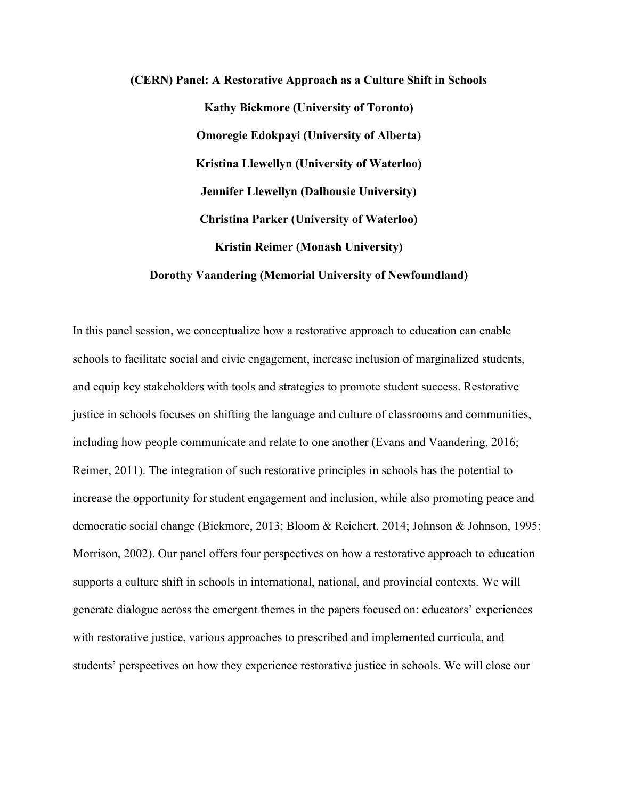# **(CERN) Panel: A Restorative Approach as a Culture Shift in Schools Kathy Bickmore (University of Toronto) Omoregie Edokpayi (University of Alberta) Kristina Llewellyn (University of Waterloo) Jennifer Llewellyn (Dalhousie University) Christina Parker (University of Waterloo) Kristin Reimer (Monash University) Dorothy Vaandering (Memorial University of Newfoundland)**

In this panel session, we conceptualize how a restorative approach to education can enable schools to facilitate social and civic engagement, increase inclusion of marginalized students, and equip key stakeholders with tools and strategies to promote student success. Restorative justice in schools focuses on shifting the language and culture of classrooms and communities, including how people communicate and relate to one another (Evans and Vaandering, 2016; Reimer, 2011). The integration of such restorative principles in schools has the potential to increase the opportunity for student engagement and inclusion, while also promoting peace and democratic social change (Bickmore, 2013; Bloom & Reichert, 2014; Johnson & Johnson, 1995; Morrison, 2002). Our panel offers four perspectives on how a restorative approach to education supports a culture shift in schools in international, national, and provincial contexts. We will generate dialogue across the emergent themes in the papers focused on: educators' experiences with restorative justice, various approaches to prescribed and implemented curricula, and students' perspectives on how they experience restorative justice in schools. We will close our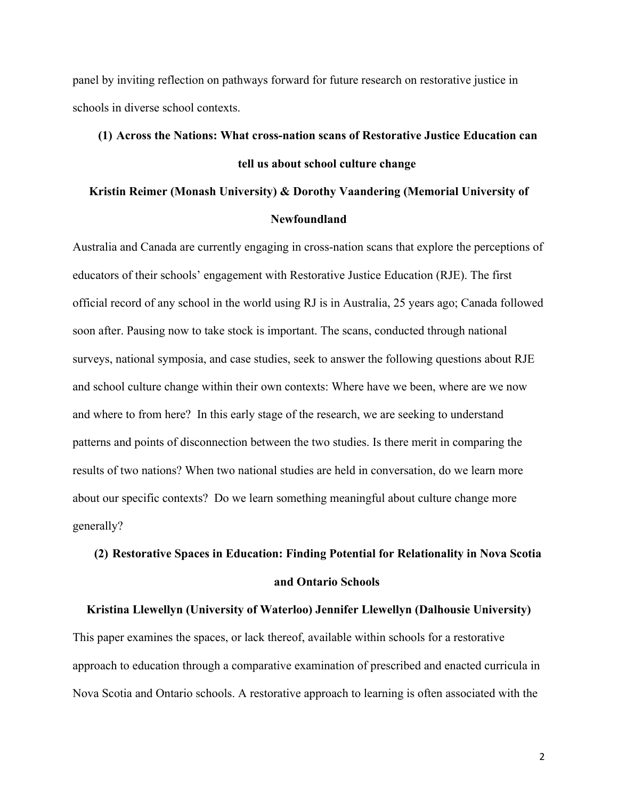panel by inviting reflection on pathways forward for future research on restorative justice in schools in diverse school contexts.

### **(1) Across the Nations: What cross-nation scans of Restorative Justice Education can tell us about school culture change**

#### **Kristin Reimer (Monash University) & Dorothy Vaandering (Memorial University of Newfoundland**

Australia and Canada are currently engaging in cross-nation scans that explore the perceptions of educators of their schools' engagement with Restorative Justice Education (RJE). The first official record of any school in the world using RJ is in Australia, 25 years ago; Canada followed soon after. Pausing now to take stock is important. The scans, conducted through national surveys, national symposia, and case studies, seek to answer the following questions about RJE and school culture change within their own contexts: Where have we been, where are we now and where to from here? In this early stage of the research, we are seeking to understand patterns and points of disconnection between the two studies. Is there merit in comparing the results of two nations? When two national studies are held in conversation, do we learn more about our specific contexts? Do we learn something meaningful about culture change more generally?

## **(2) Restorative Spaces in Education: Finding Potential for Relationality in Nova Scotia and Ontario Schools**

**Kristina Llewellyn (University of Waterloo) Jennifer Llewellyn (Dalhousie University)** This paper examines the spaces, or lack thereof, available within schools for a restorative approach to education through a comparative examination of prescribed and enacted curricula in Nova Scotia and Ontario schools. A restorative approach to learning is often associated with the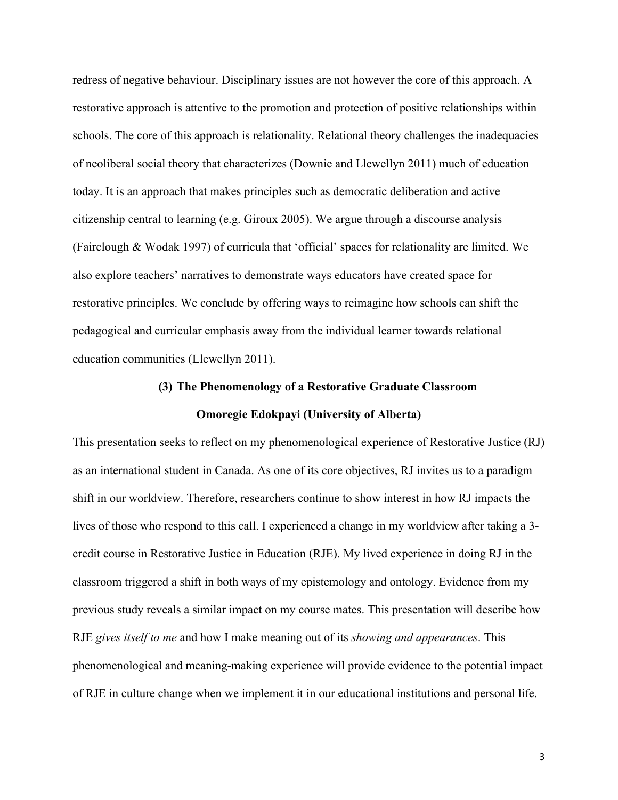redress of negative behaviour. Disciplinary issues are not however the core of this approach. A restorative approach is attentive to the promotion and protection of positive relationships within schools. The core of this approach is relationality. Relational theory challenges the inadequacies of neoliberal social theory that characterizes (Downie and Llewellyn 2011) much of education today. It is an approach that makes principles such as democratic deliberation and active citizenship central to learning (e.g. Giroux 2005). We argue through a discourse analysis (Fairclough & Wodak 1997) of curricula that 'official' spaces for relationality are limited. We also explore teachers' narratives to demonstrate ways educators have created space for restorative principles. We conclude by offering ways to reimagine how schools can shift the pedagogical and curricular emphasis away from the individual learner towards relational education communities (Llewellyn 2011).

## **(3) The Phenomenology of a Restorative Graduate Classroom Omoregie Edokpayi (University of Alberta)**

This presentation seeks to reflect on my phenomenological experience of Restorative Justice (RJ) as an international student in Canada. As one of its core objectives, RJ invites us to a paradigm shift in our worldview. Therefore, researchers continue to show interest in how RJ impacts the lives of those who respond to this call. I experienced a change in my worldview after taking a 3 credit course in Restorative Justice in Education (RJE). My lived experience in doing RJ in the classroom triggered a shift in both ways of my epistemology and ontology. Evidence from my previous study reveals a similar impact on my course mates. This presentation will describe how RJE *gives itself to me* and how I make meaning out of its *showing and appearances*. This phenomenological and meaning-making experience will provide evidence to the potential impact of RJE in culture change when we implement it in our educational institutions and personal life.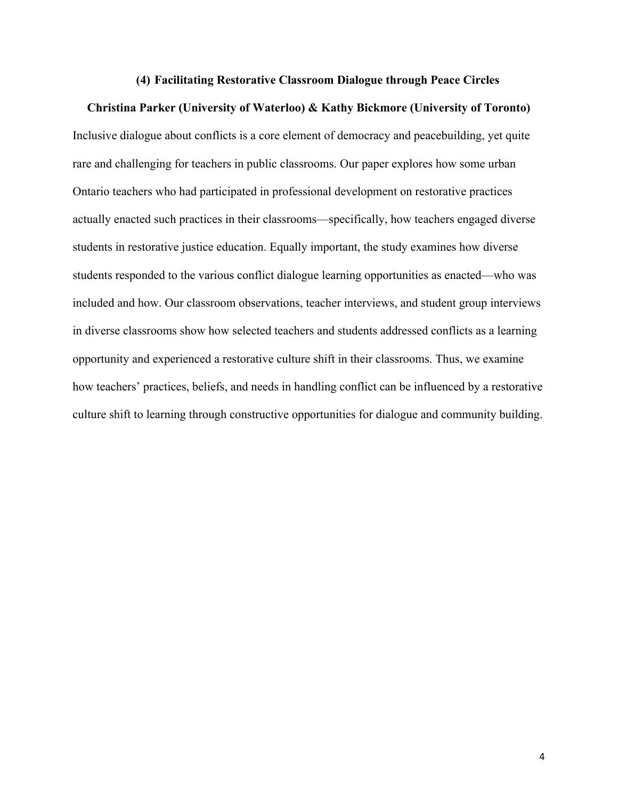#### **(4) Facilitating Restorative Classroom Dialogue through Peace Circles**

#### **Christina Parker (University of Waterloo) & Kathy Bickmore (University of Toronto)**

Inclusive dialogue about conflicts is a core element of democracy and peacebuilding, yet quite rare and challenging for teachers in public classrooms. Our paper explores how some urban Ontario teachers who had participated in professional development on restorative practices actually enacted such practices in their classrooms—specifically, how teachers engaged diverse students in restorative justice education. Equally important, the study examines how diverse students responded to the various conflict dialogue learning opportunities as enacted—who was included and how. Our classroom observations, teacher interviews, and student group interviews in diverse classrooms show how selected teachers and students addressed conflicts as a learning opportunity and experienced a restorative culture shift in their classrooms. Thus, we examine how teachers' practices, beliefs, and needs in handling conflict can be influenced by a restorative culture shift to learning through constructive opportunities for dialogue and community building.